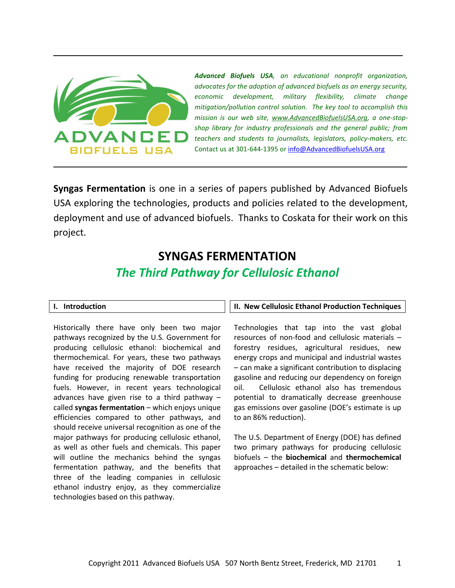

*Advanced Biofuels USA, an educational nonprofit organization, advocates for the adoption of advanced biofuels as an energy security, economic development, military flexibility, climate change mitigation/pollution control solution. The key tool to accomplish this mission is our web site, [www.AdvancedBiofuelsUSA.org,](http://www.advancedbiofuelsusa.org/) a one-stopshop library for industry professionals and the general public; from teachers and students to journalists, legislators, policy-makers, etc.*  Contact us at 301-644-1395 or [info@AdvancedBiofuelsUSA.org](mailto:info@AdvancedBiofuelsUSA.org)

**Syngas Fermentation** is one in a series of papers published by Advanced Biofuels USA exploring the technologies, products and policies related to the development, deployment and use of advanced biofuels. Thanks to Coskata for their work on this project.

# **SYNGAS FERMENTATION** *The Third Pathway for Cellulosic Ethanol*

# **I. Introduction**

Historically there have only been two major pathways recognized by the U.S. Government for producing cellulosic ethanol: biochemical and thermochemical. For years, these two pathways have received the majority of DOE research funding for producing renewable transportation fuels. However, in recent years technological advances have given rise to a third pathway – called **syngas fermentation** – which enjoys unique efficiencies compared to other pathways, and should receive universal recognition as one of the major pathways for producing cellulosic ethanol, as well as other fuels and chemicals. This paper will outline the mechanics behind the syngas fermentation pathway, and the benefits that three of the leading companies in cellulosic ethanol industry enjoy, as they commercialize technologies based on this pathway.

# **II. New Cellulosic Ethanol Production Techniques**

Technologies that tap into the vast global resources of non-food and cellulosic materials – forestry residues, agricultural residues, new energy crops and municipal and industrial wastes – can make a significant contribution to displacing gasoline and reducing our dependency on foreign oil. Cellulosic ethanol also has tremendous potential to dramatically decrease greenhouse gas emissions over gasoline (DOE's estimate is up to an 86% reduction).

The U.S. Department of Energy (DOE) has defined two primary pathways for producing cellulosic biofuels – the **biochemical** and **thermochemical** approaches – detailed in the schematic below: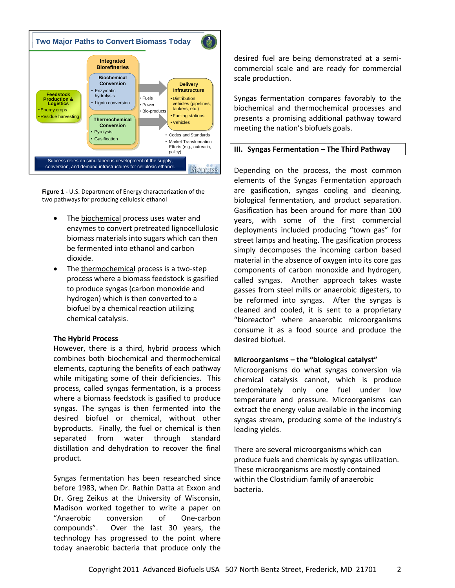

**Figure 1 -** U.S. Department of Energy characterization of the two pathways for producing cellulosic ethanol

- The biochemical process uses water and enzymes to convert pretreated lignocellulosic biomass materials into sugars which can then be fermented into ethanol and carbon dioxide.
- The thermochemical process is a two-step process where a biomass feedstock is gasified to produce syngas (carbon monoxide and hydrogen) which is then converted to a biofuel by a chemical reaction utilizing chemical catalysis.

#### **The Hybrid Process**

However, there is a third, hybrid process which combines both biochemical and thermochemical elements, capturing the benefits of each pathway while mitigating some of their deficiencies. This process, called syngas fermentation, is a process where a biomass feedstock is gasified to produce syngas. The syngas is then fermented into the desired biofuel or chemical, without other byproducts. Finally, the fuel or chemical is then separated from water through standard distillation and dehydration to recover the final product.

Syngas fermentation has been researched since before 1983, when Dr. Rathin Datta at Exxon and Dr. Greg Zeikus at the University of Wisconsin, Madison worked together to write a paper on "Anaerobic conversion of One-carbon compounds". Over the last 30 years, the technology has progressed to the point where today anaerobic bacteria that produce only the

desired fuel are being demonstrated at a semicommercial scale and are ready for commercial scale production.

Syngas fermentation compares favorably to the biochemical and thermochemical processes and presents a promising additional pathway toward meeting the nation's biofuels goals.

# **III. Syngas Fermentation – The Third Pathway**

Depending on the process, the most common elements of the Syngas Fermentation approach are gasification, syngas cooling and cleaning, biological fermentation, and product separation. Gasification has been around for more than 100 years, with some of the first commercial deployments included producing "town gas" for street lamps and heating. The gasification process simply decomposes the incoming carbon based material in the absence of oxygen into its core gas components of carbon monoxide and hydrogen, called syngas. Another approach takes waste gasses from steel mills or anaerobic digesters, to be reformed into syngas. After the syngas is cleaned and cooled, it is sent to a proprietary "bioreactor" where anaerobic microorganisms consume it as a food source and produce the desired biofuel.

# **Microorganisms – the "biological catalyst"**

Microorganisms do what syngas conversion via chemical catalysis cannot, which is produce predominately only one fuel under low temperature and pressure. Microorganisms can extract the energy value available in the incoming syngas stream, producing some of the industry's leading yields.

There are several microorganisms which can produce fuels and chemicals by syngas utilization. These microorganisms are mostly contained within the Clostridium family of anaerobic bacteria.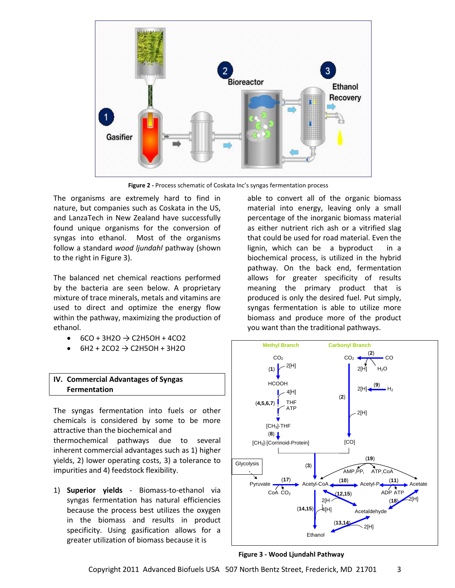

**Figure 2 -** Process schematic of Coskata Inc's syngas fermentation process

The organisms are extremely hard to find in nature, but companies such as Coskata in the US, and LanzaTech in New Zealand have successfully found unique organisms for the conversion of syngas into ethanol. Most of the organisms follow a standard *wood ljundahl* pathway (shown to the right in Figure 3).

The balanced net chemical reactions performed by the bacteria are seen below. A proprietary mixture of trace minerals, metals and vitamins are used to direct and optimize the energy flow within the pathway, maximizing the production of ethanol.

- $\bullet$  6CO + 3H2O  $\rightarrow$  C2H5OH + 4CO2
- $6H2 + 2CO2 \rightarrow C2H5OH + 3H2O$

## **IV. Commercial Advantages of Syngas Fermentation**

The syngas fermentation into fuels or other chemicals is considered by some to be more attractive than the biochemical and thermochemical pathways due to several inherent commercial advantages such as 1) higher yields, 2) lower operating costs, 3) a tolerance to impurities and 4) feedstock flexibility.

1) **Superior yields** *-* Biomass-to-ethanol via syngas fermentation has natural efficiencies because the process best utilizes the oxygen in the biomass and results in product specificity. Using gasification allows for a greater utilization of biomass because it is

able to convert all of the organic biomass material into energy, leaving only a small percentage of the inorganic biomass material as either nutrient rich ash or a vitrified slag that could be used for road material. Even the lignin, which can be a byproduct in a biochemical process, is utilized in the hybrid pathway. On the back end, fermentation allows for greater specificity of results meaning the primary product that is produced is only the desired fuel. Put simply, syngas fermentation is able to utilize more biomass and produce more of the product you want than the traditional pathways.



**Figure 3 - Wood Ljundahl Pathway**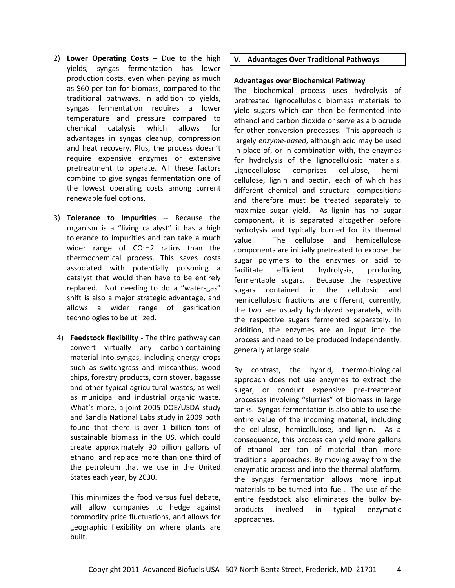- 2) **Lower Operating Costs** Due to the high yields, syngas fermentation has lower production costs, even when paying as much as \$60 per ton for biomass, compared to the traditional pathways. In addition to yields, syngas fermentation requires a lower temperature and pressure compared to chemical catalysis which allows for advantages in syngas cleanup, compression and heat recovery. Plus, the process doesn't require expensive enzymes or extensive pretreatment to operate. All these factors combine to give syngas fermentation one of the lowest operating costs among current renewable fuel options.
- 3) **Tolerance to Impurities** -- Because the organism is a "living catalyst" it has a high tolerance to impurities and can take a much wider range of CO:H2 ratios than the thermochemical process. This saves costs associated with potentially poisoning a catalyst that would then have to be entirely replaced. Not needing to do a "water-gas" shift is also a major strategic advantage, and allows a wider range of gasification technologies to be utilized.
- 4) **Feedstock flexibility -** The third pathway can convert virtually any carbon-containing material into syngas, including energy crops such as switchgrass and miscanthus; wood chips, forestry products, corn stover, bagasse and other typical agricultural wastes; as well as municipal and industrial organic waste. What's more, a joint 2005 DOE/USDA study and Sandia National Labs study in 2009 both found that there is over 1 billion tons of sustainable biomass in the US, which could create approximately 90 billion gallons of ethanol and replace more than one third of the petroleum that we use in the United States each year, by 2030.

This minimizes the food versus fuel debate, will allow companies to hedge against commodity price fluctuations, and allows for geographic flexibility on where plants are built.

# **V. Advantages Over Traditional Pathways**

### **Advantages over Biochemical Pathway**

The biochemical process uses hydrolysis of pretreated lignocellulosic biomass materials to yield sugars which can then be fermented into ethanol and carbon dioxide or serve as a biocrude for other conversion processes. This approach is largely *enzyme-based*, although acid may be used in place of, or in combination with, the enzymes for hydrolysis of the lignocellulosic materials. Lignocellulose comprises cellulose, hemicellulose, lignin and pectin, each of which has different chemical and structural compositions and therefore must be treated separately to maximize sugar yield. As lignin has no sugar component, it is separated altogether before hydrolysis and typically burned for its thermal value. The cellulose and hemicellulose components are initially pretreated to expose the sugar polymers to the enzymes or acid to facilitate efficient hydrolysis, producing fermentable sugars. Because the respective sugars contained in the cellulosic and hemicellulosic fractions are different, currently, the two are usually hydrolyzed separately, with the respective sugars fermented separately. In addition, the enzymes are an input into the process and need to be produced independently, generally at large scale.

By contrast, the hybrid, thermo-biological approach does not use enzymes to extract the sugar, or conduct expensive pre-treatment processes involving "slurries" of biomass in large tanks. Syngas fermentation is also able to use the entire value of the incoming material, including the cellulose, hemicellulose, and lignin. As a consequence, this process can yield more gallons of ethanol per ton of material than more traditional approaches. By moving away from the enzymatic process and into the thermal platform, the syngas fermentation allows more input materials to be turned into fuel. The use of the entire feedstock also eliminates the bulky byproducts involved in typical enzymatic approaches.